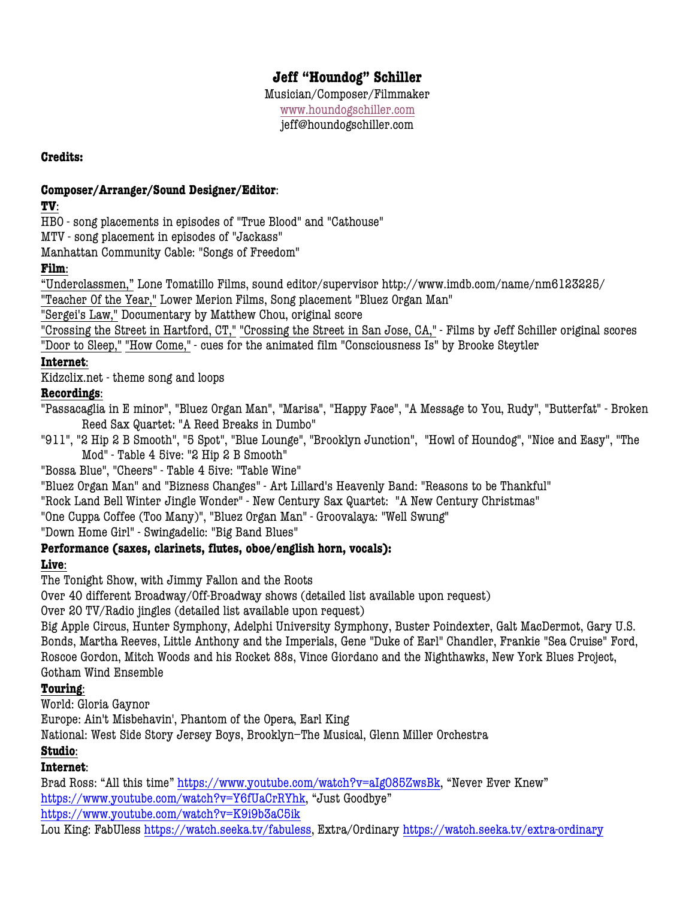# **Jeff "Houndog" Schiller**

Musician/Composer/Filmmaker www.houndogschiller.com jeff@houndogschiller.com

**Credits:**

# **Composer/Arranger/Sound Designer/Editor**:

**TV**:

HBO - song placements in episodes of "True Blood" and "Cathouse"

MTV - song placement in episodes of "Jackass"

Manhattan Community Cable: "Songs of Freedom"

**Film**:

"Underclassmen," Lone Tomatillo Films, sound editor/supervisor http://www.imdb.com/name/nm6123225/

"Teacher Of the Year," Lower Merion Films, Song placement "Bluez Organ Man"

"Sergei's Law," Documentary by Matthew Chou, original score

"Crossing the Street in Hartford, CT," "Crossing the Street in San Jose, CA," - Films by Jeff Schiller original scores "Door to Sleep," "How Come," - cues for the animated film "Consciousness Is" by Brooke Steytler

**Internet**:

Kidzclix.net - theme song and loops

# **Recordings**:

"Passacaglia in E minor", "Bluez Organ Man", "Marisa", "Happy Face", "A Message to You, Rudy", "Butterfat" - Broken Reed Sax Quartet: "A Reed Breaks in Dumbo"

"911", "2 Hip 2 B Smooth", "5 Spot", "Blue Lounge", "Brooklyn Junction", "Howl of Houndog", "Nice and Easy", "The Mod" - Table 4 5ive: "2 Hip 2 B Smooth"

"Bossa Blue", "Cheers" - Table 4 5ive: "Table Wine"

"Bluez Organ Man" and "Bizness Changes" - Art Lillard's Heavenly Band: "Reasons to be Thankful"

"Rock Land Bell Winter Jingle Wonder" - New Century Sax Quartet: "A New Century Christmas"

"One Cuppa Coffee (Too Many)", "Bluez Organ Man" - Groovalaya: "Well Swung"

"Down Home Girl" - Swingadelic: "Big Band Blues"

# **Performance (saxes, clarinets, flutes, oboe/english horn, vocals):**

# **Live**:

The Tonight Show, with Jimmy Fallon and the Roots

Over 40 different Broadway/Off-Broadway shows (detailed list available upon request)

Over 20 TV/Radio jingles (detailed list available upon request)

Big Apple Circus, Hunter Symphony, Adelphi University Symphony, Buster Poindexter, Galt MacDermot, Gary U.S. Bonds, Martha Reeves, Little Anthony and the Imperials, Gene "Duke of Earl" Chandler, Frankie "Sea Cruise" Ford, Roscoe Gordon, Mitch Woods and his Rocket 88s, Vince Giordano and the Nighthawks, New York Blues Project, Gotham Wind Ensemble

# **Touring**:

World: Gloria Gaynor

Europe: Ain't Misbehavin', Phantom of the Opera, Earl King

National: West Side Story Jersey Boys, Brooklyn–The Musical, Glenn Miller Orchestra

# **Studio**:

**Internet**:

Brad Ross: "All this time" https://www.youtube.com/watch?v=aIgO85ZwsBk, "Never Ever Knew" https://www.youtube.com/watch?v=Y6fUaCrRYhk, "Just Goodbye" https://www.youtube.com/watch?v=K9i9b3aC5ik

Lou King: FabUless https://watch.seeka.tv/fabuless, Extra/Ordinary https://watch.seeka.tv/extra-ordinary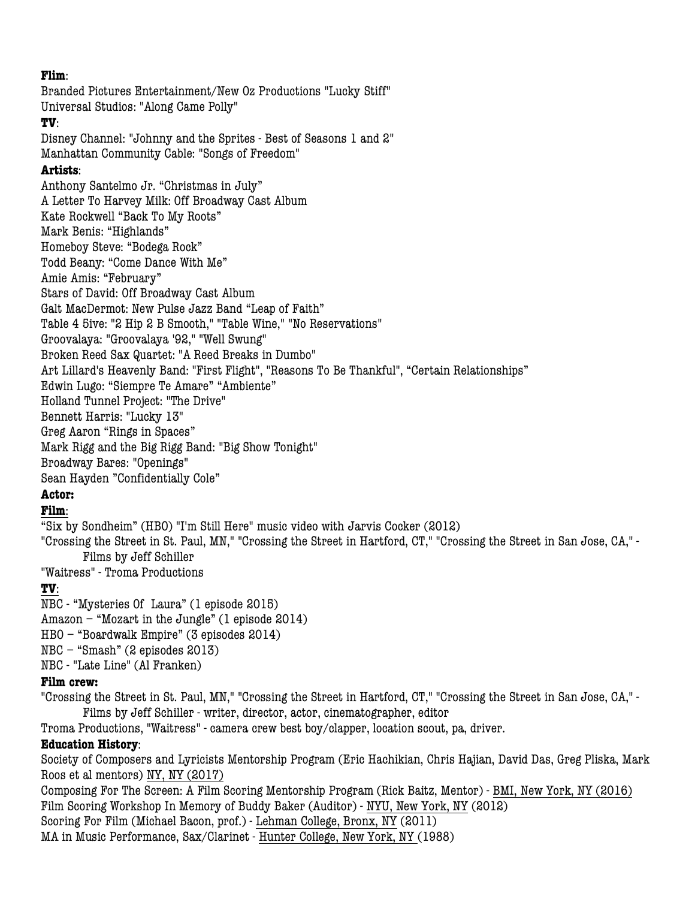## **Flim**:

Branded Pictures Entertainment/New Oz Productions "Lucky Stiff" Universal Studios: "Along Came Polly"

#### **TV**:

Disney Channel: "Johnny and the Sprites - Best of Seasons 1 and 2" Manhattan Community Cable: "Songs of Freedom"

#### **Artists**:

Anthony Santelmo Jr. "Christmas in July" A Letter To Harvey Milk: Off Broadway Cast Album Kate Rockwell "Back To My Roots" Mark Benis: "Highlands" Homeboy Steve: "Bodega Rock" Todd Beany: "Come Dance With Me" Amie Amis: "February" Stars of David: Off Broadway Cast Album Galt MacDermot: New Pulse Jazz Band "Leap of Faith" Table 4 5ive: "2 Hip 2 B Smooth," "Table Wine," "No Reservations" Groovalaya: "Groovalaya '92," "Well Swung" Broken Reed Sax Quartet: "A Reed Breaks in Dumbo" Art Lillard's Heavenly Band: "First Flight", "Reasons To Be Thankful", "Certain Relationships" Edwin Lugo: "Siempre Te Amare" "Ambiente" Holland Tunnel Project: "The Drive" Bennett Harris: "Lucky 13" Greg Aaron "Rings in Spaces" Mark Rigg and the Big Rigg Band: "Big Show Tonight" Broadway Bares: "Openings" Sean Hayden "Confidentially Cole"

# **Actor:**

# **Film**:

"Six by Sondheim" (HBO) "I'm Still Here" music video with Jarvis Cocker (2012)

"Crossing the Street in St. Paul, MN," "Crossing the Street in Hartford, CT," "Crossing the Street in San Jose, CA," - Films by Jeff Schiller

"Waitress" - Troma Productions

# **TV**:

NBC - "Mysteries Of Laura" (1 episode 2015) Amazon – "Mozart in the Jungle" (1 episode 2014) HBO – "Boardwalk Empire" (3 episodes 2014) NBC – "Smash" (2 episodes 2013) NBC - "Late Line" (Al Franken)

#### **Film crew:**

"Crossing the Street in St. Paul, MN," "Crossing the Street in Hartford, CT," "Crossing the Street in San Jose, CA," - Films by Jeff Schiller - writer, director, actor, cinematographer, editor

Troma Productions, "Waitress" - camera crew best boy/clapper, location scout, pa, driver.

# **Education History**:

Society of Composers and Lyricists Mentorship Program (Eric Hachikian, Chris Hajian, David Das, Greg Pliska, Mark Roos et al mentors) NY, NY (2017)

Composing For The Screen: A Film Scoring Mentorship Program (Rick Baitz, Mentor) - BMI, New York, NY (2016) Film Scoring Workshop In Memory of Buddy Baker (Auditor) - NYU, New York, NY (2012) Scoring For Film (Michael Bacon, prof.) - Lehman College, Bronx, NY (2011) MA in Music Performance, Sax/Clarinet - Hunter College, New York, NY (1988)